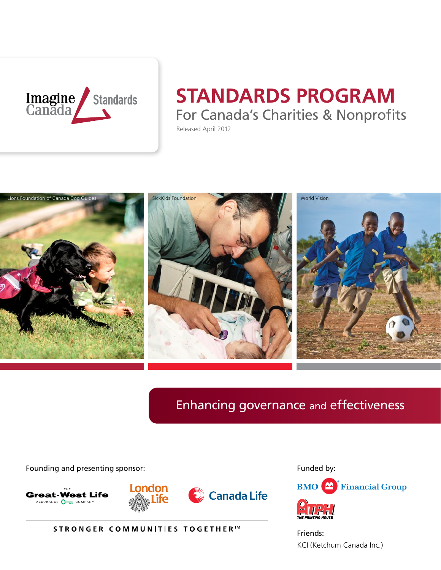

# **STANDARDS PROGRAM** For Canada's Charities & Nonprofits

Released April 2012



### Enhancing governance and effectiveness

Founding and presenting sponsor:



STRONGER COMMUNITIES TOGETHER™



KCI (Ketchum Canada Inc.) Friends: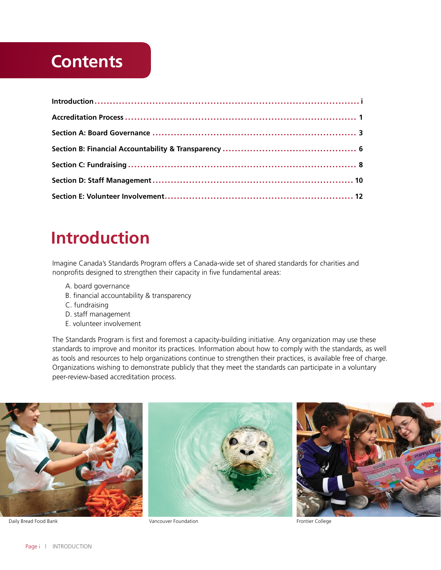### **Contents**

## **Introduction**

Imagine Canada's Standards Program offers a Canada-wide set of shared standards for charities and nonprofits designed to strengthen their capacity in five fundamental areas:

- A. board governance
- B. financial accountability & transparency
- C. fundraising
- D. staff management
- E. volunteer involvement

The Standards Program is first and foremost a capacity-building initiative. Any organization may use these standards to improve and monitor its practices. Information about how to comply with the standards, as well as tools and resources to help organizations continue to strengthen their practices, is available free of charge. Organizations wishing to demonstrate publicly that they meet the standards can participate in a voluntary peer-review-based accreditation process.



Daily Bread Food Bank **Vancouver Foundation** College **Vancouver Foundation** Frontier College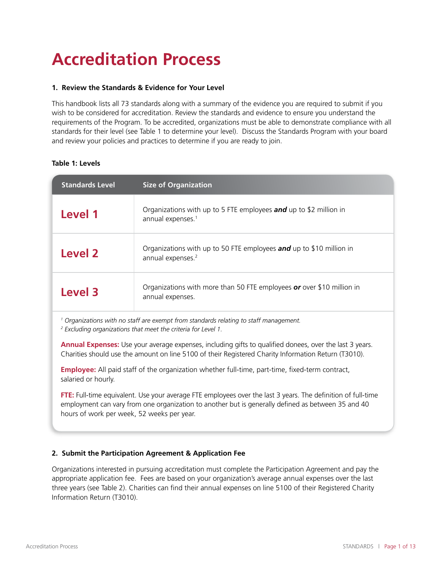# **Accreditation Process**

#### **1. Review the Standards & Evidence for Your Level**

This handbook lists all 73 standards along with a summary of the evidence you are required to submit if you wish to be considered for accreditation. Review the standards and evidence to ensure you understand the requirements of the Program. To be accredited, organizations must be able to demonstrate compliance with all standards for their level (see Table 1 to determine your level). Discuss the Standards Program with your board and review your policies and practices to determine if you are ready to join.

#### **Table 1: Levels**

| <b>Standards Level</b>                                                                                                                                                                                                                                           | <b>Size of Organization</b>                                                                          |  |
|------------------------------------------------------------------------------------------------------------------------------------------------------------------------------------------------------------------------------------------------------------------|------------------------------------------------------------------------------------------------------|--|
| <b>Level 1</b>                                                                                                                                                                                                                                                   | Organizations with up to 5 FTE employees and up to \$2 million in<br>annual expenses. <sup>1</sup>   |  |
| <b>Level 2</b>                                                                                                                                                                                                                                                   | Organizations with up to 50 FTE employees and up to \$10 million in<br>annual expenses. <sup>2</sup> |  |
| Level 3                                                                                                                                                                                                                                                          | Organizations with more than 50 FTE employees or over \$10 million in<br>annual expenses.            |  |
| <sup>1</sup> Organizations with no staff are exempt from standards relating to staff management.<br><sup>2</sup> Excluding organizations that meet the criteria for Level 1.                                                                                     |                                                                                                      |  |
| Annual Expenses: Use your average expenses, including gifts to qualified donees, over the last 3 years.<br>Charities should use the amount on line 5100 of their Registered Charity Information Return (T3010).                                                  |                                                                                                      |  |
| <b>Employee:</b> All paid staff of the organization whether full-time, part-time, fixed-term contract,<br>salaried or hourly.                                                                                                                                    |                                                                                                      |  |
| FTE: Full-time equivalent. Use your average FTE employees over the last 3 years. The definition of full-time<br>employment can vary from one organization to another but is generally defined as between 35 and 40<br>hours of work per week, 52 weeks per year. |                                                                                                      |  |
| 2. Submit the Participation Agreement & Application Fee                                                                                                                                                                                                          |                                                                                                      |  |

Organizations interested in pursuing accreditation must complete the Participation Agreement and pay the appropriate application fee. Fees are based on your organization's average annual expenses over the last three years (see Table 2). Charities can find their annual expenses on line 5100 of their Registered Charity Information Return (T3010).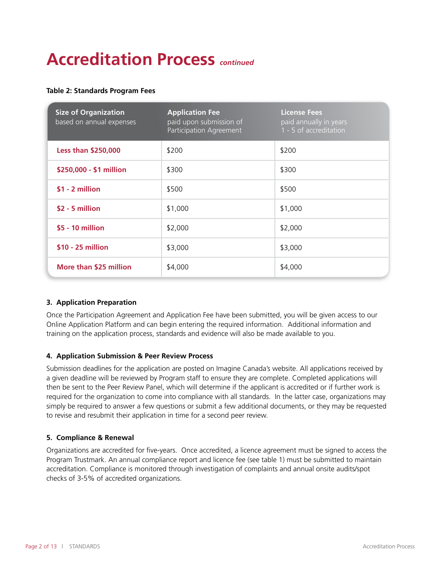# **Accreditation Process** *continued*

#### **Table 2: Standards Program Fees**

| <b>Size of Organization</b><br>based on annual expenses | <b>Application Fee</b><br>paid upon submission of<br>Participation Agreement | <b>License Fees</b><br>paid annually in years<br>1 - 5 of accreditation |
|---------------------------------------------------------|------------------------------------------------------------------------------|-------------------------------------------------------------------------|
| <b>Less than \$250,000</b>                              | \$200                                                                        | \$200                                                                   |
| \$250,000 - \$1 million                                 | \$300                                                                        | \$300                                                                   |
| $$1 - 2$ million                                        | \$500                                                                        | \$500                                                                   |
| $$2 - 5$ million                                        | \$1,000                                                                      | \$1,000                                                                 |
| \$5 - 10 million                                        | \$2,000                                                                      | \$2,000                                                                 |
| \$10 - 25 million                                       | \$3,000                                                                      | \$3,000                                                                 |
| More than \$25 million                                  | \$4,000                                                                      | \$4,000                                                                 |

#### **3. Application Preparation**

Once the Participation Agreement and Application Fee have been submitted, you will be given access to our Online Application Platform and can begin entering the required information. Additional information and training on the application process, standards and evidence will also be made available to you.

#### **4. Application Submission & Peer Review Process**

Submission deadlines for the application are posted on Imagine Canada's website. All applications received by a given deadline will be reviewed by Program staff to ensure they are complete. Completed applications will then be sent to the Peer Review Panel, which will determine if the applicant is accredited or if further work is required for the organization to come into compliance with all standards. In the latter case, organizations may simply be required to answer a few questions or submit a few additional documents, or they may be requested to revise and resubmit their application in time for a second peer review.

#### **5. Compliance & Renewal**

Organizations are accredited for five-years. Once accredited, a licence agreement must be signed to access the Program Trustmark. An annual compliance report and licence fee (see table 1) must be submitted to maintain accreditation. Compliance is monitored through investigation of complaints and annual onsite audits/spot checks of 3-5% of accredited organizations.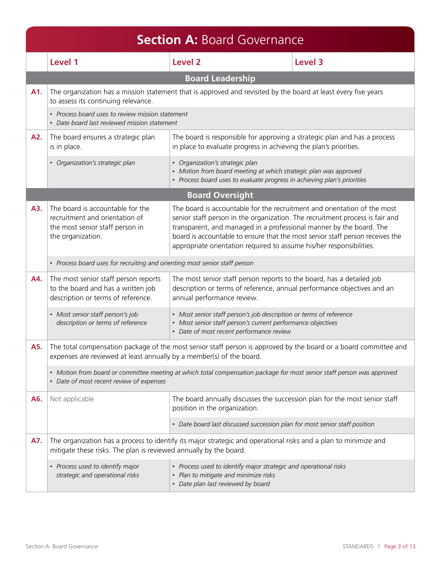|                                                        | <b>Section A: Board Governance</b>                                                                                                                                 |                                                                                                                                                                                                                                                                                                                                                                                          |         |  |
|--------------------------------------------------------|--------------------------------------------------------------------------------------------------------------------------------------------------------------------|------------------------------------------------------------------------------------------------------------------------------------------------------------------------------------------------------------------------------------------------------------------------------------------------------------------------------------------------------------------------------------------|---------|--|
|                                                        | Level 1                                                                                                                                                            | <b>Level 2</b>                                                                                                                                                                                                                                                                                                                                                                           | Level 3 |  |
|                                                        |                                                                                                                                                                    | <b>Board Leadership</b>                                                                                                                                                                                                                                                                                                                                                                  |         |  |
| A1.                                                    | to assess its continuing relevance.                                                                                                                                | The organization has a mission statement that is approved and revisited by the board at least every five years                                                                                                                                                                                                                                                                           |         |  |
|                                                        | • Process board uses to review mission statement<br>• Date board last reviewed mission statement                                                                   |                                                                                                                                                                                                                                                                                                                                                                                          |         |  |
| A2.                                                    | The board ensures a strategic plan<br>is in place.                                                                                                                 | The board is responsible for approving a strategic plan and has a process<br>in place to evaluate progress in achieving the plan's priorities.                                                                                                                                                                                                                                           |         |  |
|                                                        | · Organization's strategic plan                                                                                                                                    | · Organization's strategic plan<br>• Motion from board meeting at which strategic plan was approved<br>• Process board uses to evaluate progress in achieving plan's priorities                                                                                                                                                                                                          |         |  |
|                                                        |                                                                                                                                                                    | <b>Board Oversight</b>                                                                                                                                                                                                                                                                                                                                                                   |         |  |
| A3.                                                    | The board is accountable for the<br>recruitment and orientation of<br>the most senior staff person in<br>the organization.                                         | The board is accountable for the recruitment and orientation of the most<br>senior staff person in the organization. The recruitment process is fair and<br>transparent, and managed in a professional manner by the board. The<br>board is accountable to ensure that the most senior staff person receives the<br>appropriate orientation required to assume his/her responsibilities. |         |  |
|                                                        | • Process board uses for recruiting and orienting most senior staff person                                                                                         |                                                                                                                                                                                                                                                                                                                                                                                          |         |  |
| A4.                                                    | The most senior staff person reports<br>to the board and has a written job<br>description or terms of reference.                                                   | The most senior staff person reports to the board, has a detailed job<br>description or terms of reference, annual performance objectives and an<br>annual performance review.                                                                                                                                                                                                           |         |  |
|                                                        | • Most senior staff person's job<br>description or terms of reference                                                                                              | • Most senior staff person's job description or terms of reference<br>• Most senior staff person's current performance objectives<br>• Date of most recent performance review                                                                                                                                                                                                            |         |  |
| A5.                                                    | expenses are reviewed at least annually by a member(s) of the board.                                                                                               | The total compensation package of the most senior staff person is approved by the board or a board committee and                                                                                                                                                                                                                                                                         |         |  |
|                                                        | • Motion from board or committee meeting at which total compensation package for most senior staff person was approved<br>• Date of most recent review of expenses |                                                                                                                                                                                                                                                                                                                                                                                          |         |  |
| A6.<br>Not applicable<br>position in the organization. |                                                                                                                                                                    | The board annually discusses the succession plan for the most senior staff                                                                                                                                                                                                                                                                                                               |         |  |
|                                                        |                                                                                                                                                                    | • Date board last discussed succession plan for most senior staff position                                                                                                                                                                                                                                                                                                               |         |  |
| A7.                                                    | mitigate these risks. The plan is reviewed annually by the board.                                                                                                  | The organization has a process to identify its major strategic and operational risks and a plan to minimize and                                                                                                                                                                                                                                                                          |         |  |
|                                                        | • Process used to identify major<br>strategic and operational risks                                                                                                | • Process used to identify major strategic and operational risks<br>• Plan to mitigate and minimize risks<br>• Date plan last reviewed by board                                                                                                                                                                                                                                          |         |  |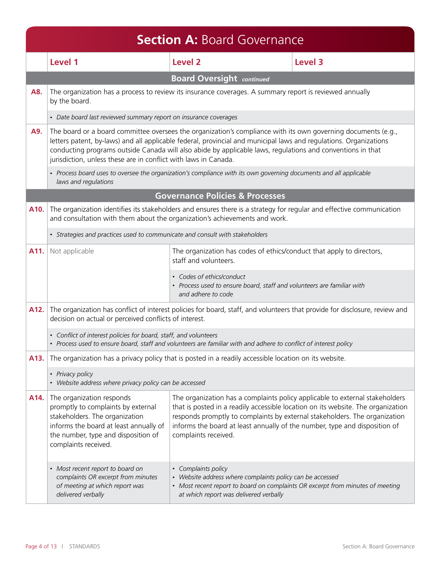|      | <b>Section A: Board Governance</b>                                                                                                                                                                         |                                                                                                                                                                                                                                                                                                                                                      |         |  |
|------|------------------------------------------------------------------------------------------------------------------------------------------------------------------------------------------------------------|------------------------------------------------------------------------------------------------------------------------------------------------------------------------------------------------------------------------------------------------------------------------------------------------------------------------------------------------------|---------|--|
|      | Level 1                                                                                                                                                                                                    | <b>Level 2</b>                                                                                                                                                                                                                                                                                                                                       | Level 3 |  |
|      |                                                                                                                                                                                                            | <b>Board Oversight continued</b>                                                                                                                                                                                                                                                                                                                     |         |  |
| A8.  | by the board.                                                                                                                                                                                              | The organization has a process to review its insurance coverages. A summary report is reviewed annually                                                                                                                                                                                                                                              |         |  |
|      | • Date board last reviewed summary report on insurance coverages                                                                                                                                           |                                                                                                                                                                                                                                                                                                                                                      |         |  |
| A9.  | jurisdiction, unless these are in conflict with laws in Canada.                                                                                                                                            | The board or a board committee oversees the organization's compliance with its own governing documents (e.g.,<br>letters patent, by-laws) and all applicable federal, provincial and municipal laws and regulations. Organizations<br>conducting programs outside Canada will also abide by applicable laws, regulations and conventions in that     |         |  |
|      | laws and regulations                                                                                                                                                                                       | • Process board uses to oversee the organization's compliance with its own governing documents and all applicable                                                                                                                                                                                                                                    |         |  |
|      |                                                                                                                                                                                                            | <b>Governance Policies &amp; Processes</b>                                                                                                                                                                                                                                                                                                           |         |  |
| A10. | and consultation with them about the organization's achievements and work.                                                                                                                                 | The organization identifies its stakeholders and ensures there is a strategy for regular and effective communication                                                                                                                                                                                                                                 |         |  |
|      | • Strategies and practices used to communicate and consult with stakeholders                                                                                                                               |                                                                                                                                                                                                                                                                                                                                                      |         |  |
| A11. | Not applicable                                                                                                                                                                                             | The organization has codes of ethics/conduct that apply to directors,<br>staff and volunteers.                                                                                                                                                                                                                                                       |         |  |
|      |                                                                                                                                                                                                            | • Codes of ethics/conduct<br>• Process used to ensure board, staff and volunteers are familiar with<br>and adhere to code                                                                                                                                                                                                                            |         |  |
| A12. | decision on actual or perceived conflicts of interest.                                                                                                                                                     | The organization has conflict of interest policies for board, staff, and volunteers that provide for disclosure, review and                                                                                                                                                                                                                          |         |  |
|      | • Conflict of interest policies for board, staff, and volunteers                                                                                                                                           | • Process used to ensure board, staff and volunteers are familiar with and adhere to conflict of interest policy                                                                                                                                                                                                                                     |         |  |
| A13. |                                                                                                                                                                                                            | The organization has a privacy policy that is posted in a readily accessible location on its website.                                                                                                                                                                                                                                                |         |  |
|      | • Privacy policy<br>• Website address where privacy policy can be accessed                                                                                                                                 |                                                                                                                                                                                                                                                                                                                                                      |         |  |
| A14. | The organization responds<br>promptly to complaints by external<br>stakeholders. The organization<br>informs the board at least annually of<br>the number, type and disposition of<br>complaints received. | The organization has a complaints policy applicable to external stakeholders<br>that is posted in a readily accessible location on its website. The organization<br>responds promptly to complaints by external stakeholders. The organization<br>informs the board at least annually of the number, type and disposition of<br>complaints received. |         |  |
|      | • Most recent report to board on<br>complaints OR excerpt from minutes<br>of meeting at which report was<br>delivered verbally                                                                             | • Complaints policy<br>• Website address where complaints policy can be accessed<br>• Most recent report to board on complaints OR excerpt from minutes of meeting<br>at which report was delivered verbally                                                                                                                                         |         |  |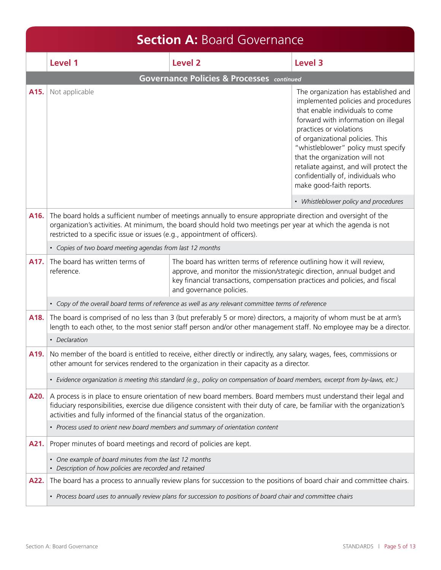|      | <b>Section A: Board Governance</b>                                                                                                                                                                                                                                                                                          |                                                                                                                                                                                                                                                              |                                                                                                                                                                                                                                                                                                                                                                                                            |  |
|------|-----------------------------------------------------------------------------------------------------------------------------------------------------------------------------------------------------------------------------------------------------------------------------------------------------------------------------|--------------------------------------------------------------------------------------------------------------------------------------------------------------------------------------------------------------------------------------------------------------|------------------------------------------------------------------------------------------------------------------------------------------------------------------------------------------------------------------------------------------------------------------------------------------------------------------------------------------------------------------------------------------------------------|--|
|      | Level 1                                                                                                                                                                                                                                                                                                                     | Level <sub>2</sub>                                                                                                                                                                                                                                           | Level 3                                                                                                                                                                                                                                                                                                                                                                                                    |  |
|      |                                                                                                                                                                                                                                                                                                                             | <b>Governance Policies &amp; Processes</b> continued                                                                                                                                                                                                         |                                                                                                                                                                                                                                                                                                                                                                                                            |  |
| A15. | Not applicable                                                                                                                                                                                                                                                                                                              |                                                                                                                                                                                                                                                              | The organization has established and<br>implemented policies and procedures<br>that enable individuals to come<br>forward with information on illegal<br>practices or violations<br>of organizational policies. This<br>"whistleblower" policy must specify<br>that the organization will not<br>retaliate against, and will protect the<br>confidentially of, individuals who<br>make good-faith reports. |  |
|      |                                                                                                                                                                                                                                                                                                                             |                                                                                                                                                                                                                                                              | • Whistleblower policy and procedures                                                                                                                                                                                                                                                                                                                                                                      |  |
| A16. | restricted to a specific issue or issues (e.g., appointment of officers).                                                                                                                                                                                                                                                   | The board holds a sufficient number of meetings annually to ensure appropriate direction and oversight of the<br>organization's activities. At minimum, the board should hold two meetings per year at which the agenda is not                               |                                                                                                                                                                                                                                                                                                                                                                                                            |  |
|      | • Copies of two board meeting agendas from last 12 months                                                                                                                                                                                                                                                                   |                                                                                                                                                                                                                                                              |                                                                                                                                                                                                                                                                                                                                                                                                            |  |
| A17. | The board has written terms of<br>reference.                                                                                                                                                                                                                                                                                | The board has written terms of reference outlining how it will review,<br>approve, and monitor the mission/strategic direction, annual budget and<br>key financial transactions, compensation practices and policies, and fiscal<br>and governance policies. |                                                                                                                                                                                                                                                                                                                                                                                                            |  |
|      |                                                                                                                                                                                                                                                                                                                             | • Copy of the overall board terms of reference as well as any relevant committee terms of reference                                                                                                                                                          |                                                                                                                                                                                                                                                                                                                                                                                                            |  |
| A18. |                                                                                                                                                                                                                                                                                                                             | The board is comprised of no less than 3 (but preferably 5 or more) directors, a majority of whom must be at arm's<br>length to each other, to the most senior staff person and/or other management staff. No employee may be a director.                    |                                                                                                                                                                                                                                                                                                                                                                                                            |  |
|      | • Declaration                                                                                                                                                                                                                                                                                                               |                                                                                                                                                                                                                                                              |                                                                                                                                                                                                                                                                                                                                                                                                            |  |
| A19. |                                                                                                                                                                                                                                                                                                                             | No member of the board is entitled to receive, either directly or indirectly, any salary, wages, fees, commissions or<br>other amount for services rendered to the organization in their capacity as a director.                                             |                                                                                                                                                                                                                                                                                                                                                                                                            |  |
|      |                                                                                                                                                                                                                                                                                                                             | · Evidence organization is meeting this standard (e.g., policy on compensation of board members, excerpt from by-laws, etc.)                                                                                                                                 |                                                                                                                                                                                                                                                                                                                                                                                                            |  |
| A20. | A process is in place to ensure orientation of new board members. Board members must understand their legal and<br>fiduciary responsibilities, exercise due diligence consistent with their duty of care, be familiar with the organization's<br>activities and fully informed of the financial status of the organization. |                                                                                                                                                                                                                                                              |                                                                                                                                                                                                                                                                                                                                                                                                            |  |
|      | • Process used to orient new board members and summary of orientation content                                                                                                                                                                                                                                               |                                                                                                                                                                                                                                                              |                                                                                                                                                                                                                                                                                                                                                                                                            |  |
| A21. | Proper minutes of board meetings and record of policies are kept.                                                                                                                                                                                                                                                           |                                                                                                                                                                                                                                                              |                                                                                                                                                                                                                                                                                                                                                                                                            |  |
|      | • One example of board minutes from the last 12 months<br>• Description of how policies are recorded and retained                                                                                                                                                                                                           |                                                                                                                                                                                                                                                              |                                                                                                                                                                                                                                                                                                                                                                                                            |  |
| A22. |                                                                                                                                                                                                                                                                                                                             | The board has a process to annually review plans for succession to the positions of board chair and committee chairs.                                                                                                                                        |                                                                                                                                                                                                                                                                                                                                                                                                            |  |
|      |                                                                                                                                                                                                                                                                                                                             | • Process board uses to annually review plans for succession to positions of board chair and committee chairs                                                                                                                                                |                                                                                                                                                                                                                                                                                                                                                                                                            |  |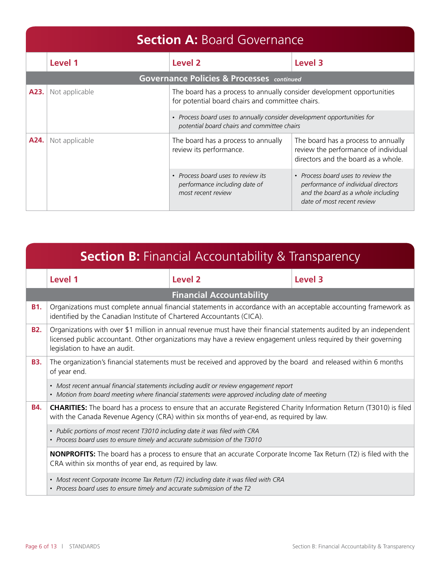### **Section A: Board Governance**

|                        | Level 1        | Level <sub>2</sub>                                                                                                         | Level 3                                                                                                                                       |
|------------------------|----------------|----------------------------------------------------------------------------------------------------------------------------|-----------------------------------------------------------------------------------------------------------------------------------------------|
|                        |                | <b>Governance Policies &amp; Processes</b> continued                                                                       |                                                                                                                                               |
| A23.<br>Not applicable |                | The board has a process to annually consider development opportunities<br>for potential board chairs and committee chairs. |                                                                                                                                               |
|                        |                | • Process board uses to annually consider development opportunities for<br>potential board chairs and committee chairs     |                                                                                                                                               |
| A24.                   | Not applicable | The board has a process to annually<br>review its performance.                                                             | The board has a process to annually<br>review the performance of individual<br>directors and the board as a whole.                            |
|                        |                | • Process board uses to review its<br>performance including date of<br>most recent review                                  | • Process board uses to review the<br>performance of individual directors<br>and the board as a whole including<br>date of most recent review |

|                                                                                                                                                                                                                                      | <b>Section B:</b> Financial Accountability & Transparency                                                                                                                               |                                                                                                                                                                                                                                         |         |  |
|--------------------------------------------------------------------------------------------------------------------------------------------------------------------------------------------------------------------------------------|-----------------------------------------------------------------------------------------------------------------------------------------------------------------------------------------|-----------------------------------------------------------------------------------------------------------------------------------------------------------------------------------------------------------------------------------------|---------|--|
|                                                                                                                                                                                                                                      | Level 1                                                                                                                                                                                 | <b>Level 2</b>                                                                                                                                                                                                                          | Level 3 |  |
|                                                                                                                                                                                                                                      |                                                                                                                                                                                         | <b>Financial Accountability</b>                                                                                                                                                                                                         |         |  |
| <b>B1.</b>                                                                                                                                                                                                                           | identified by the Canadian Institute of Chartered Accountants (CICA).                                                                                                                   | Organizations must complete annual financial statements in accordance with an acceptable accounting framework as                                                                                                                        |         |  |
| <b>B2.</b>                                                                                                                                                                                                                           | legislation to have an audit.                                                                                                                                                           | Organizations with over \$1 million in annual revenue must have their financial statements audited by an independent<br>licensed public accountant. Other organizations may have a review engagement unless required by their governing |         |  |
| <b>B3.</b>                                                                                                                                                                                                                           | of year end.                                                                                                                                                                            | The organization's financial statements must be received and approved by the board and released within 6 months                                                                                                                         |         |  |
|                                                                                                                                                                                                                                      | • Most recent annual financial statements including audit or review engagement report<br>• Motion from board meeting where financial statements were approved including date of meeting |                                                                                                                                                                                                                                         |         |  |
| <b>CHARITIES:</b> The board has a process to ensure that an accurate Registered Charity Information Return (T3010) is filed<br><b>B4.</b><br>with the Canada Revenue Agency (CRA) within six months of year-end, as required by law. |                                                                                                                                                                                         |                                                                                                                                                                                                                                         |         |  |
|                                                                                                                                                                                                                                      | • Public portions of most recent T3010 including date it was filed with CRA<br>• Process board uses to ensure timely and accurate submission of the T3010                               |                                                                                                                                                                                                                                         |         |  |
|                                                                                                                                                                                                                                      | CRA within six months of year end, as required by law.                                                                                                                                  | <b>NONPROFITS:</b> The board has a process to ensure that an accurate Corporate Income Tax Return (T2) is filed with the                                                                                                                |         |  |
|                                                                                                                                                                                                                                      | • Most recent Corporate Income Tax Return (T2) including date it was filed with CRA<br>• Process board uses to ensure timely and accurate submission of the T2                          |                                                                                                                                                                                                                                         |         |  |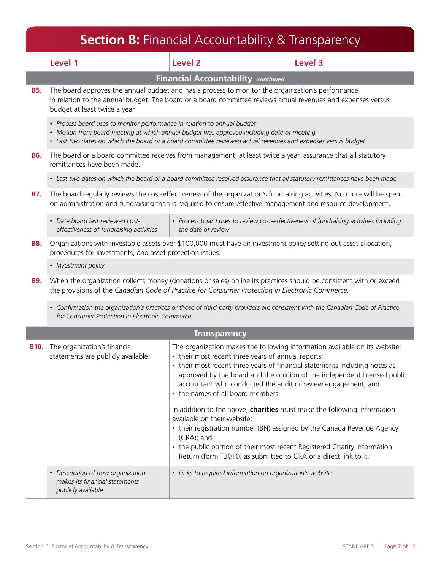|             |                                                                                                                                                                                                                       | <b>Section B:</b> Financial Accountability & Transparency                                                                                                                                                                                                                                                                                     |                                                                          |
|-------------|-----------------------------------------------------------------------------------------------------------------------------------------------------------------------------------------------------------------------|-----------------------------------------------------------------------------------------------------------------------------------------------------------------------------------------------------------------------------------------------------------------------------------------------------------------------------------------------|--------------------------------------------------------------------------|
|             | Level 1                                                                                                                                                                                                               | <b>Level 2</b>                                                                                                                                                                                                                                                                                                                                | <b>Level 3</b>                                                           |
|             |                                                                                                                                                                                                                       | Financial Accountability continued                                                                                                                                                                                                                                                                                                            |                                                                          |
| <b>B5.</b>  | budget at least twice a year.                                                                                                                                                                                         | The board approves the annual budget and has a process to monitor the organization's performance<br>in relation to the annual budget. The board or a board committee reviews actual revenues and expenses versus                                                                                                                              |                                                                          |
|             | • Process board uses to monitor performance in relation to annual budget                                                                                                                                              | • Motion from board meeting at which annual budget was approved including date of meeting<br>· Last two dates on which the board or a board committee reviewed actual revenues and expenses versus budget                                                                                                                                     |                                                                          |
| <b>B6.</b>  | remittances have been made.                                                                                                                                                                                           | The board or a board committee receives from management, at least twice a year, assurance that all statutory                                                                                                                                                                                                                                  |                                                                          |
|             |                                                                                                                                                                                                                       | • Last two dates on which the board or a board committee received assurance that all statutory remittances have been made                                                                                                                                                                                                                     |                                                                          |
| <b>B7.</b>  |                                                                                                                                                                                                                       | The board regularly reviews the cost-effectiveness of the organization's fundraising activities. No more will be spent<br>on administration and fundraising than is required to ensure effective management and resource development.                                                                                                         |                                                                          |
|             | · Date board last reviewed cost-<br>effectiveness of fundraising activities                                                                                                                                           | • Process board uses to review cost-effectiveness of fundraising activities including<br>the date of review                                                                                                                                                                                                                                   |                                                                          |
| <b>B8.</b>  | procedures for investments, and asset protection issues.                                                                                                                                                              | Organizations with investable assets over \$100,000 must have an investment policy setting out asset allocation,                                                                                                                                                                                                                              |                                                                          |
|             | • Investment policy                                                                                                                                                                                                   |                                                                                                                                                                                                                                                                                                                                               |                                                                          |
| <b>B9.</b>  | When the organization collects money (donations or sales) online its practices should be consistent with or exceed<br>the provisions of the Canadian Code of Practice for Consumer Protection in Electronic Commerce. |                                                                                                                                                                                                                                                                                                                                               |                                                                          |
|             | • Confirmation the organization's practices or those of third-party providers are consistent with the Canadian Code of Practice<br>for Consumer Protection in Electronic Commerce                                     |                                                                                                                                                                                                                                                                                                                                               |                                                                          |
|             |                                                                                                                                                                                                                       | <b>Transparency</b>                                                                                                                                                                                                                                                                                                                           |                                                                          |
| <b>B10.</b> | The organization's financial<br>statements are publicly available.                                                                                                                                                    | The organization makes the following information available on its website:<br>• their most recent three years of annual reports;<br>• their most recent three years of financial statements including notes as<br>accountant who conducted the audit or review engagement; and<br>• the names of all board members.                           | approved by the board and the opinion of the independent licensed public |
|             |                                                                                                                                                                                                                       | In addition to the above, charities must make the following information<br>available on their website:<br>• their registration number (BN) assigned by the Canada Revenue Agency<br>(CRA); and<br>• the public portion of their most recent Registered Charity Information<br>Return (form T3010) as submitted to CRA or a direct link to it. |                                                                          |
|             | • Description of how organization<br>makes its financial statements<br>publicly available                                                                                                                             | • Links to required information on organization's website                                                                                                                                                                                                                                                                                     |                                                                          |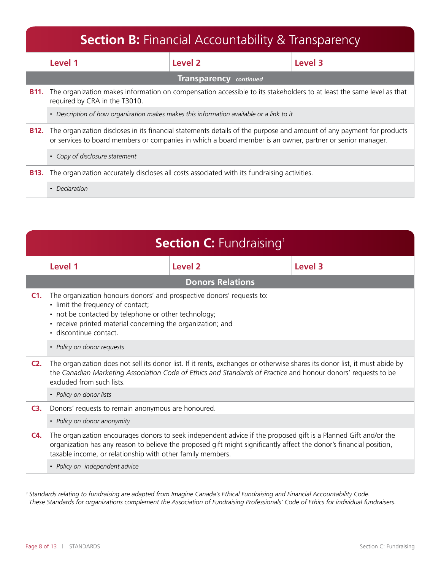|               | <b>Section B:</b> Financial Accountability & Transparency                                                                                                                                                                                                           |                                                                                             |         |  |
|---------------|---------------------------------------------------------------------------------------------------------------------------------------------------------------------------------------------------------------------------------------------------------------------|---------------------------------------------------------------------------------------------|---------|--|
|               | Level 1                                                                                                                                                                                                                                                             | Level 2                                                                                     | Level 3 |  |
|               |                                                                                                                                                                                                                                                                     | <b>Transparency</b> continued                                                               |         |  |
| <b>B11.</b>   | The organization makes information on compensation accessible to its stakeholders to at least the same level as that<br>required by CRA in the T3010.                                                                                                               |                                                                                             |         |  |
|               | • Description of how organization makes makes this information available or a link to it                                                                                                                                                                            |                                                                                             |         |  |
| <b>B12.</b>   | The organization discloses in its financial statements details of the purpose and amount of any payment for products<br>or services to board members or companies in which a board member is an owner, partner or senior manager.<br>• Copy of disclosure statement |                                                                                             |         |  |
|               |                                                                                                                                                                                                                                                                     |                                                                                             |         |  |
| <b>B13.</b>   |                                                                                                                                                                                                                                                                     | The organization accurately discloses all costs associated with its fundraising activities. |         |  |
| • Declaration |                                                                                                                                                                                                                                                                     |                                                                                             |         |  |

|        | <b>Section C: Fundraising</b>                                                                                                                                                                                                                                                                        |                         |  |         |
|--------|------------------------------------------------------------------------------------------------------------------------------------------------------------------------------------------------------------------------------------------------------------------------------------------------------|-------------------------|--|---------|
|        | Level 1                                                                                                                                                                                                                                                                                              | Level <sub>2</sub>      |  | Level 3 |
|        |                                                                                                                                                                                                                                                                                                      | <b>Donors Relations</b> |  |         |
| C1.    | The organization honours donors' and prospective donors' requests to:<br>• limit the frequency of contact;<br>• not be contacted by telephone or other technology;<br>• receive printed material concerning the organization; and<br>· discontinue contact.                                          |                         |  |         |
|        | • Policy on donor requests                                                                                                                                                                                                                                                                           |                         |  |         |
| $C2$ . | The organization does not sell its donor list. If it rents, exchanges or otherwise shares its donor list, it must abide by<br>the Canadian Marketing Association Code of Ethics and Standards of Practice and honour donors' requests to be<br>excluded from such lists.                             |                         |  |         |
|        | • Policy on donor lists                                                                                                                                                                                                                                                                              |                         |  |         |
| $C3$ . | Donors' requests to remain anonymous are honoured.                                                                                                                                                                                                                                                   |                         |  |         |
|        | • Policy on donor anonymity                                                                                                                                                                                                                                                                          |                         |  |         |
| C4.    | The organization encourages donors to seek independent advice if the proposed gift is a Planned Gift and/or the<br>organization has any reason to believe the proposed gift might significantly affect the donor's financial position,<br>taxable income, or relationship with other family members. |                         |  |         |
|        | • Policy on independent advice                                                                                                                                                                                                                                                                       |                         |  |         |

*1 Standards relating to fundraising are adapted from Imagine Canada's Ethical Fundraising and Financial Accountability Code. These Standards for organizations complement the Association of Fundraising Professionals' Code of Ethics for individual fundraisers.*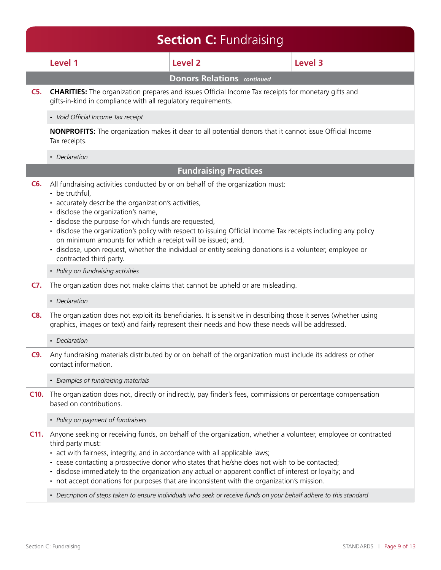|            |                                                                                                                                                                                                                                                                                                                                                    | <b>Section C: Fundraising</b>                                                                                                                                                                                                                                                                                                                                                                                                                                                                                                                |                |
|------------|----------------------------------------------------------------------------------------------------------------------------------------------------------------------------------------------------------------------------------------------------------------------------------------------------------------------------------------------------|----------------------------------------------------------------------------------------------------------------------------------------------------------------------------------------------------------------------------------------------------------------------------------------------------------------------------------------------------------------------------------------------------------------------------------------------------------------------------------------------------------------------------------------------|----------------|
|            | Level 1                                                                                                                                                                                                                                                                                                                                            | <b>Level 2</b>                                                                                                                                                                                                                                                                                                                                                                                                                                                                                                                               | <b>Level 3</b> |
|            |                                                                                                                                                                                                                                                                                                                                                    | <b>Donors Relations</b> continued                                                                                                                                                                                                                                                                                                                                                                                                                                                                                                            |                |
| $C5$ .     | gifts-in-kind in compliance with all regulatory requirements.                                                                                                                                                                                                                                                                                      | <b>CHARITIES:</b> The organization prepares and issues Official Income Tax receipts for monetary gifts and                                                                                                                                                                                                                                                                                                                                                                                                                                   |                |
|            | • Void Official Income Tax receipt                                                                                                                                                                                                                                                                                                                 |                                                                                                                                                                                                                                                                                                                                                                                                                                                                                                                                              |                |
|            | Tax receipts.                                                                                                                                                                                                                                                                                                                                      | <b>NONPROFITS:</b> The organization makes it clear to all potential donors that it cannot issue Official Income                                                                                                                                                                                                                                                                                                                                                                                                                              |                |
|            | • Declaration                                                                                                                                                                                                                                                                                                                                      |                                                                                                                                                                                                                                                                                                                                                                                                                                                                                                                                              |                |
|            |                                                                                                                                                                                                                                                                                                                                                    | <b>Fundraising Practices</b>                                                                                                                                                                                                                                                                                                                                                                                                                                                                                                                 |                |
| C6.        | All fundraising activities conducted by or on behalf of the organization must:<br>• be truthful,<br>• accurately describe the organization's activities,<br>· disclose the organization's name,<br>· disclose the purpose for which funds are requested,<br>on minimum amounts for which a receipt will be issued; and,<br>contracted third party. | · disclose the organization's policy with respect to issuing Official Income Tax receipts including any policy<br>· disclose, upon request, whether the individual or entity seeking donations is a volunteer, employee or                                                                                                                                                                                                                                                                                                                   |                |
|            | • Policy on fundraising activities                                                                                                                                                                                                                                                                                                                 |                                                                                                                                                                                                                                                                                                                                                                                                                                                                                                                                              |                |
| C7.        |                                                                                                                                                                                                                                                                                                                                                    | The organization does not make claims that cannot be upheld or are misleading.                                                                                                                                                                                                                                                                                                                                                                                                                                                               |                |
|            | • Declaration                                                                                                                                                                                                                                                                                                                                      |                                                                                                                                                                                                                                                                                                                                                                                                                                                                                                                                              |                |
| <b>C8.</b> |                                                                                                                                                                                                                                                                                                                                                    | The organization does not exploit its beneficiaries. It is sensitive in describing those it serves (whether using<br>graphics, images or text) and fairly represent their needs and how these needs will be addressed.                                                                                                                                                                                                                                                                                                                       |                |
|            | • Declaration                                                                                                                                                                                                                                                                                                                                      |                                                                                                                                                                                                                                                                                                                                                                                                                                                                                                                                              |                |
| C9.        | contact information.                                                                                                                                                                                                                                                                                                                               | Any fundraising materials distributed by or on behalf of the organization must include its address or other                                                                                                                                                                                                                                                                                                                                                                                                                                  |                |
|            | • Examples of fundraising materials                                                                                                                                                                                                                                                                                                                |                                                                                                                                                                                                                                                                                                                                                                                                                                                                                                                                              |                |
| C10.       | based on contributions.                                                                                                                                                                                                                                                                                                                            | The organization does not, directly or indirectly, pay finder's fees, commissions or percentage compensation                                                                                                                                                                                                                                                                                                                                                                                                                                 |                |
|            | • Policy on payment of fundraisers                                                                                                                                                                                                                                                                                                                 |                                                                                                                                                                                                                                                                                                                                                                                                                                                                                                                                              |                |
| $C11$ .    | third party must:<br>• act with fairness, integrity, and in accordance with all applicable laws;                                                                                                                                                                                                                                                   | Anyone seeking or receiving funds, on behalf of the organization, whether a volunteer, employee or contracted<br>• cease contacting a prospective donor who states that he/she does not wish to be contacted;<br>• disclose immediately to the organization any actual or apparent conflict of interest or loyalty; and<br>• not accept donations for purposes that are inconsistent with the organization's mission.<br>• Description of steps taken to ensure individuals who seek or receive funds on your behalf adhere to this standard |                |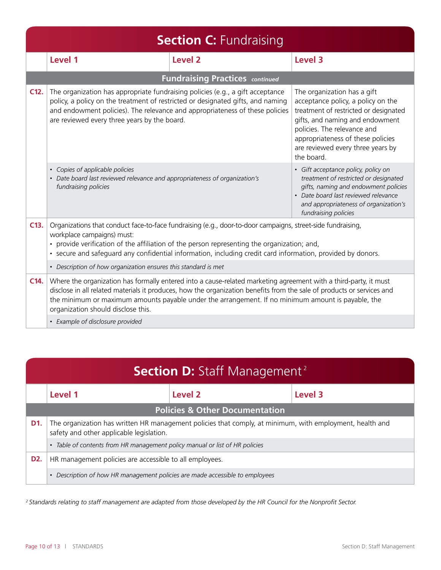|                                  | <b>Section C: Fundraising</b>                                                                                                                                                                                                                                                                                                                                                          |                                        |                                                                                                                                                                                                                                                                      |  |
|----------------------------------|----------------------------------------------------------------------------------------------------------------------------------------------------------------------------------------------------------------------------------------------------------------------------------------------------------------------------------------------------------------------------------------|----------------------------------------|----------------------------------------------------------------------------------------------------------------------------------------------------------------------------------------------------------------------------------------------------------------------|--|
|                                  | Level 1                                                                                                                                                                                                                                                                                                                                                                                | Level <sub>2</sub>                     | Level 3                                                                                                                                                                                                                                                              |  |
|                                  |                                                                                                                                                                                                                                                                                                                                                                                        | <b>Fundraising Practices continued</b> |                                                                                                                                                                                                                                                                      |  |
| $C12$ .                          | The organization has appropriate fundraising policies (e.g., a gift acceptance<br>policy, a policy on the treatment of restricted or designated gifts, and naming<br>and endowment policies). The relevance and appropriateness of these policies<br>are reviewed every three years by the board.                                                                                      |                                        | The organization has a gift<br>acceptance policy, a policy on the<br>treatment of restricted or designated<br>gifts, and naming and endowment<br>policies. The relevance and<br>appropriateness of these policies<br>are reviewed every three years by<br>the board. |  |
|                                  | • Copies of applicable policies<br>• Date board last reviewed relevance and appropriateness of organization's<br>fundraising policies                                                                                                                                                                                                                                                  |                                        | · Gift acceptance policy, policy on<br>treatment of restricted or designated<br>gifts, naming and endowment policies<br>• Date board last reviewed relevance<br>and appropriateness of organization's<br>fundraising policies                                        |  |
| C13.                             | Organizations that conduct face-to-face fundraising (e.g., door-to-door campaigns, street-side fundraising,<br>workplace campaigns) must:<br>• provide verification of the affiliation of the person representing the organization; and,<br>• secure and safeguard any confidential information, including credit card information, provided by donors.                                |                                        |                                                                                                                                                                                                                                                                      |  |
|                                  | • Description of how organization ensures this standard is met                                                                                                                                                                                                                                                                                                                         |                                        |                                                                                                                                                                                                                                                                      |  |
| $C14$ .                          | Where the organization has formally entered into a cause-related marketing agreement with a third-party, it must<br>disclose in all related materials it produces, how the organization benefits from the sale of products or services and<br>the minimum or maximum amounts payable under the arrangement. If no minimum amount is payable, the<br>organization should disclose this. |                                        |                                                                                                                                                                                                                                                                      |  |
| • Example of disclosure provided |                                                                                                                                                                                                                                                                                                                                                                                        |                                        |                                                                                                                                                                                                                                                                      |  |

| <b>Section D:</b> Staff Management <sup>2</sup>                              |                                                                                                                                                      |                    |         |
|------------------------------------------------------------------------------|------------------------------------------------------------------------------------------------------------------------------------------------------|--------------------|---------|
|                                                                              | Level 1                                                                                                                                              | Level <sub>2</sub> | Level 3 |
| <b>Policies &amp; Other Documentation</b>                                    |                                                                                                                                                      |                    |         |
| D <sub>1</sub>                                                               | The organization has written HR management policies that comply, at minimum, with employment, health and<br>safety and other applicable legislation. |                    |         |
|                                                                              | • Table of contents from HR management policy manual or list of HR policies                                                                          |                    |         |
| D2.                                                                          | HR management policies are accessible to all employees.                                                                                              |                    |         |
| • Description of how HR management policies are made accessible to employees |                                                                                                                                                      |                    |         |

*2 Standards relating to staff management are adapted from those developed by the HR Council for the Nonprofit Sector.*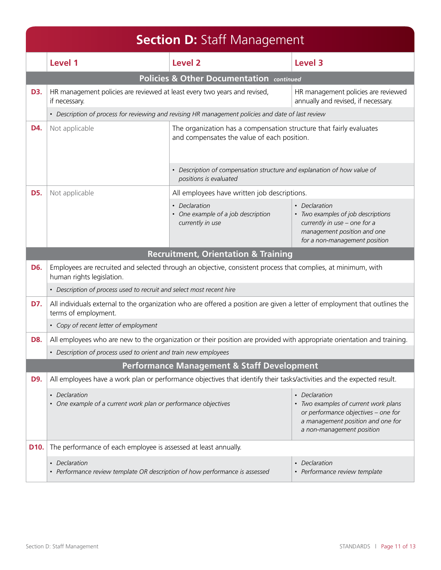|                                       | <b>Section D:</b> Staff Management                                                                                                                 |                                                                                                                         |                                                                                                                                                     |  |
|---------------------------------------|----------------------------------------------------------------------------------------------------------------------------------------------------|-------------------------------------------------------------------------------------------------------------------------|-----------------------------------------------------------------------------------------------------------------------------------------------------|--|
|                                       | Level 1                                                                                                                                            | Level 2                                                                                                                 | Level 3                                                                                                                                             |  |
|                                       |                                                                                                                                                    | <b>Policies &amp; Other Documentation continued</b>                                                                     |                                                                                                                                                     |  |
| D3.                                   | HR management policies are reviewed at least every two years and revised,<br>if necessary.                                                         |                                                                                                                         | HR management policies are reviewed<br>annually and revised, if necessary.                                                                          |  |
|                                       |                                                                                                                                                    | • Description of process for reviewing and revising HR management policies and date of last review                      |                                                                                                                                                     |  |
| D4.                                   | Not applicable                                                                                                                                     | The organization has a compensation structure that fairly evaluates<br>and compensates the value of each position.      |                                                                                                                                                     |  |
|                                       |                                                                                                                                                    | • Description of compensation structure and explanation of how value of<br>positions is evaluated                       |                                                                                                                                                     |  |
| D5.                                   | Not applicable                                                                                                                                     | All employees have written job descriptions.                                                                            |                                                                                                                                                     |  |
|                                       |                                                                                                                                                    | • Declaration<br>• One example of a job description<br>currently in use                                                 | • Declaration<br>• Two examples of job descriptions<br>currently in use - one for a<br>management position and one<br>for a non-management position |  |
|                                       |                                                                                                                                                    | <b>Recruitment, Orientation &amp; Training</b>                                                                          |                                                                                                                                                     |  |
| D6.                                   | Employees are recruited and selected through an objective, consistent process that complies, at minimum, with<br>human rights legislation.         |                                                                                                                         |                                                                                                                                                     |  |
|                                       | • Description of process used to recruit and select most recent hire                                                                               |                                                                                                                         |                                                                                                                                                     |  |
| D7.                                   | All individuals external to the organization who are offered a position are given a letter of employment that outlines the<br>terms of employment. |                                                                                                                         |                                                                                                                                                     |  |
| • Copy of recent letter of employment |                                                                                                                                                    |                                                                                                                         |                                                                                                                                                     |  |
| D8.                                   |                                                                                                                                                    | All employees who are new to the organization or their position are provided with appropriate orientation and training. |                                                                                                                                                     |  |
|                                       | • Description of process used to orient and train new employees                                                                                    |                                                                                                                         |                                                                                                                                                     |  |
|                                       | <b>Performance Management &amp; Staff Development</b>                                                                                              |                                                                                                                         |                                                                                                                                                     |  |
| D9.                                   |                                                                                                                                                    | All employees have a work plan or performance objectives that identify their tasks/activities and the expected result.  |                                                                                                                                                     |  |
|                                       | • Declaration<br>• Declaration<br>• One example of a current work plan or performance objectives<br>a non-management position                      |                                                                                                                         | • Two examples of current work plans<br>or performance objectives - one for<br>a management position and one for                                    |  |
| D10.                                  | The performance of each employee is assessed at least annually.                                                                                    |                                                                                                                         |                                                                                                                                                     |  |
|                                       | • Declaration<br>• Performance review template OR description of how performance is assessed                                                       |                                                                                                                         | • Declaration<br>• Performance review template                                                                                                      |  |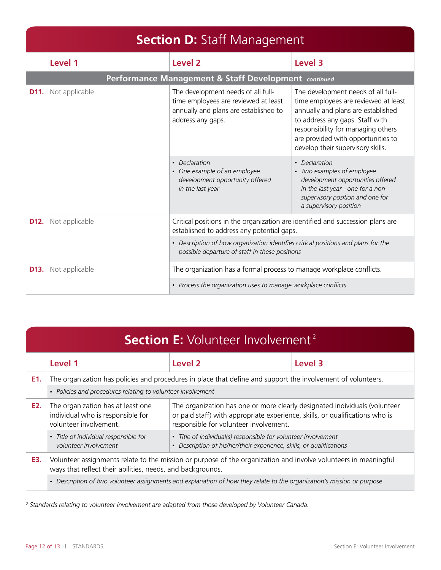|                                                               | <b>Section D: Staff Management</b> |                                                                                                                                                |                                                                                                                                                                                                                                                                      |  |
|---------------------------------------------------------------|------------------------------------|------------------------------------------------------------------------------------------------------------------------------------------------|----------------------------------------------------------------------------------------------------------------------------------------------------------------------------------------------------------------------------------------------------------------------|--|
|                                                               | Level 1                            | Level 2                                                                                                                                        | Level 3                                                                                                                                                                                                                                                              |  |
|                                                               |                                    | Performance Management & Staff Development continued                                                                                           |                                                                                                                                                                                                                                                                      |  |
| D11.                                                          | Not applicable                     | The development needs of all full-<br>time employees are reviewed at least<br>annually and plans are established to<br>address any gaps.       | The development needs of all full-<br>time employees are reviewed at least<br>annually and plans are established<br>to address any gaps. Staff with<br>responsibility for managing others<br>are provided with opportunities to<br>develop their supervisory skills. |  |
|                                                               |                                    | • Declaration<br>• One example of an employee<br>development opportunity offered<br>in the last year                                           | • Declaration<br>• Two examples of employee<br>development opportunities offered<br>in the last year - one for a non-<br>supervisory position and one for<br>a supervisory position                                                                                  |  |
| D <sub>12</sub> .                                             | Not applicable                     | established to address any potential gaps.                                                                                                     | Critical positions in the organization are identified and succession plans are                                                                                                                                                                                       |  |
|                                                               |                                    | Description of how organization identifies critical positions and plans for the<br>$\bullet$<br>possible departure of staff in these positions |                                                                                                                                                                                                                                                                      |  |
| D <sub>13</sub> .                                             | Not applicable                     | The organization has a formal process to manage workplace conflicts.                                                                           |                                                                                                                                                                                                                                                                      |  |
| • Process the organization uses to manage workplace conflicts |                                    |                                                                                                                                                |                                                                                                                                                                                                                                                                      |  |

| <b>Section E:</b> Volunteer Involvement <sup>2</sup>                                                                                                                                                                                                                                                            |                                                                                                                                                                               |                                                                                                                                                   |         |  |
|-----------------------------------------------------------------------------------------------------------------------------------------------------------------------------------------------------------------------------------------------------------------------------------------------------------------|-------------------------------------------------------------------------------------------------------------------------------------------------------------------------------|---------------------------------------------------------------------------------------------------------------------------------------------------|---------|--|
|                                                                                                                                                                                                                                                                                                                 | Level 1                                                                                                                                                                       | Level <sub>2</sub>                                                                                                                                | Level 3 |  |
| E1.                                                                                                                                                                                                                                                                                                             | The organization has policies and procedures in place that define and support the involvement of volunteers.                                                                  |                                                                                                                                                   |         |  |
|                                                                                                                                                                                                                                                                                                                 | • Policies and procedures relating to volunteer involvement                                                                                                                   |                                                                                                                                                   |         |  |
| The organization has at least one<br>The organization has one or more clearly designated individuals (volunteer<br>E2.<br>individual who is responsible for<br>or paid staff) with appropriate experience, skills, or qualifications who is<br>volunteer involvement.<br>responsible for volunteer involvement. |                                                                                                                                                                               |                                                                                                                                                   |         |  |
|                                                                                                                                                                                                                                                                                                                 | · Title of individual responsible for<br>volunteer involvement                                                                                                                | • Title of individual(s) responsible for volunteer involvement<br>Description of his/her/their experience, skills, or qualifications<br>$\bullet$ |         |  |
| E3.                                                                                                                                                                                                                                                                                                             | Volunteer assignments relate to the mission or purpose of the organization and involve volunteers in meaningful<br>ways that reflect their abilities, needs, and backgrounds. |                                                                                                                                                   |         |  |
|                                                                                                                                                                                                                                                                                                                 | • Description of two volunteer assignments and explanation of how they relate to the organization's mission or purpose                                                        |                                                                                                                                                   |         |  |

*2 Standards relating to volunteer involvement are adapted from those developed by Volunteer Canada.*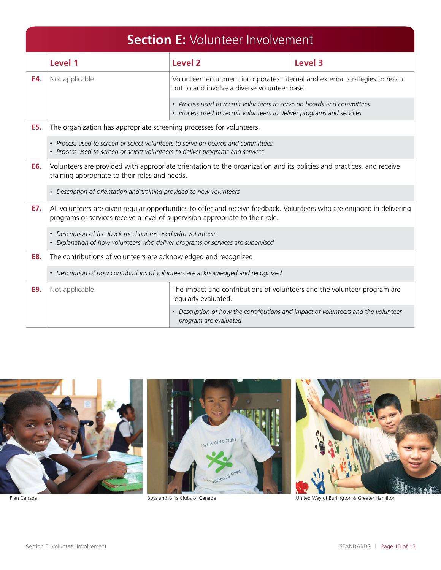|                                                                                  | <b>Section E: Volunteer Involvement</b>                                                                                                                                                                  |                                                                                                                                                 |         |  |
|----------------------------------------------------------------------------------|----------------------------------------------------------------------------------------------------------------------------------------------------------------------------------------------------------|-------------------------------------------------------------------------------------------------------------------------------------------------|---------|--|
|                                                                                  | Level 1                                                                                                                                                                                                  | Level 2                                                                                                                                         | Level 3 |  |
| E4.                                                                              | Not applicable.                                                                                                                                                                                          | Volunteer recruitment incorporates internal and external strategies to reach<br>out to and involve a diverse volunteer base.                    |         |  |
|                                                                                  |                                                                                                                                                                                                          | • Process used to recruit volunteers to serve on boards and committees<br>• Process used to recruit volunteers to deliver programs and services |         |  |
| E5.<br>The organization has appropriate screening processes for volunteers.      |                                                                                                                                                                                                          |                                                                                                                                                 |         |  |
|                                                                                  | • Process used to screen or select volunteers to serve on boards and committees<br>• Process used to screen or select volunteers to deliver programs and services                                        |                                                                                                                                                 |         |  |
| E6.                                                                              | Volunteers are provided with appropriate orientation to the organization and its policies and practices, and receive<br>training appropriate to their roles and needs.                                   |                                                                                                                                                 |         |  |
|                                                                                  | • Description of orientation and training provided to new volunteers                                                                                                                                     |                                                                                                                                                 |         |  |
| E7.                                                                              | All volunteers are given regular opportunities to offer and receive feedback. Volunteers who are engaged in delivering<br>programs or services receive a level of supervision appropriate to their role. |                                                                                                                                                 |         |  |
|                                                                                  | • Description of feedback mechanisms used with volunteers<br>• Explanation of how volunteers who deliver programs or services are supervised                                                             |                                                                                                                                                 |         |  |
| E8.                                                                              | The contributions of volunteers are acknowledged and recognized.                                                                                                                                         |                                                                                                                                                 |         |  |
| • Description of how contributions of volunteers are acknowledged and recognized |                                                                                                                                                                                                          |                                                                                                                                                 |         |  |
| E9.                                                                              | Not applicable.                                                                                                                                                                                          | The impact and contributions of volunteers and the volunteer program are<br>regularly evaluated.                                                |         |  |
|                                                                                  |                                                                                                                                                                                                          | • Description of how the contributions and impact of volunteers and the volunteer<br>program are evaluated                                      |         |  |